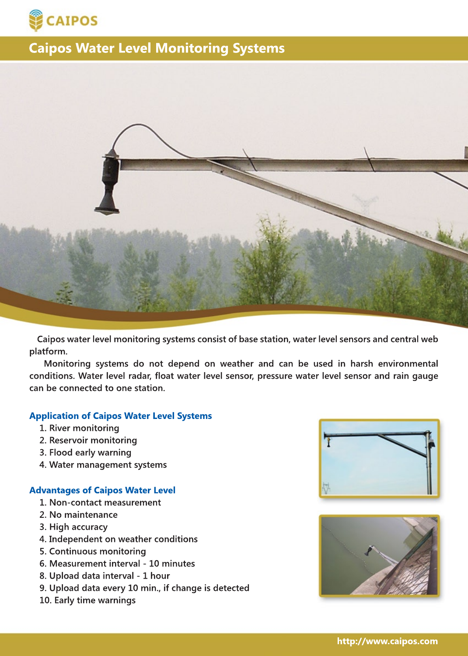



 **Caipos water level monitoring systems consist of base station, water level sensors and central web platform.** 

 **Monitoring systems do not depend on weather and can be used in harsh environmental conditions. Water level radar, float water level sensor, pressure water level sensor and rain gauge can be connected to one station.**

### **Application of Caipos Water Level Systems**

- **1. River monitoring**
- **2. Reservoir monitoring**
- **3. Flood early warning**
- **4. Water management systems**

#### **Advantages of Caipos Water Level**

- **1. Non-contact measurement**
- **2. No maintenance**
- **3. High accuracy**
- **4. Independent on weather conditions**
- **5. Continuous monitoring**
- **6. Measurement interval 10 minutes**
- **8. Upload data interval 1 hour**
- **9. Upload data every 10 min., if change is detected**
- **10. Early time warnings**



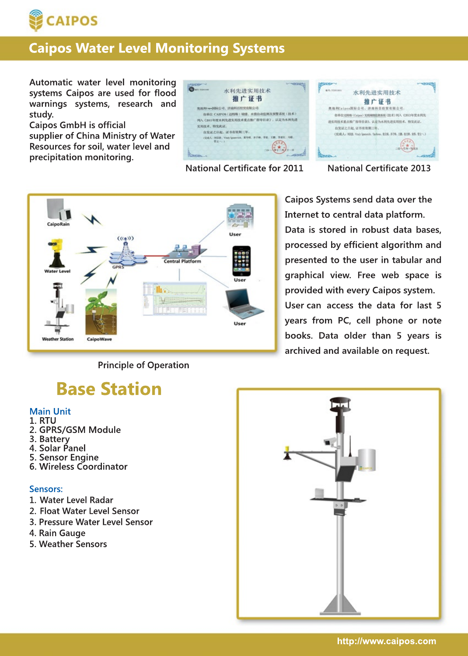

**Automatic water level monitoring systems Caipos are used for flood warnings systems, research and study.**

**Caipos GmbH is official supplier of China Ministry of Water Resources for soil, water level and precipitation monitoring.**

水利先进实用技术 水利先进实用技术 推广证书 推广证书 NINN-AMERICA INDIVIDUNDED 类地利Caipos国际公司、济南科百经贸有限公司: 你单位 CAIPOS (边特斯) 培情、水情自动监测及预整系统(技术) 你单位边的新(Calpos)无线喇嘛能测系统(技术)列入 C2013年度水利先 FA (2019年女女科先进实用技术重点施广器导目录), 认定为水科先进 通信用技术重点推广指导目录)、认定为水利生涯实用技术、特发此证。 **CHILE, IVERJE** 自发证之日起,证书有效案已经。 自发证之目起,证书有效期工作 ORIGIA, 1988, State la on, false, \$28, 576, 18, 618, 98, 92-**CAA - HOR., Vidy I** 

**National Certificate for 2011 National Certificate 2013**



**Caipos Systems send data over the Internet to central data platform. Data is stored in robust data bases, processed by efficient algorithm and presented to the user in tabular and graphical view. Free web space is provided with every Caipos system. User can can access the data for last 5 years from PC, cell phone or note books. Data older than 5 years is archived and available on request.**

### **Principle of Operation**

# **Base Station**

### **Main Unit**

- **1. RTU**
- **2. GPRS/GSM Module**
- **3. Battery**
- **4. Solar Panel 5. Sensor Engine**
- **6. Wireless Coordinator**

## **Sensors:**

- **1. Water Level Radar**
- **2. Float Water Level Sensor**
- **3. Pressure Water Level Sensor**
- **4. Rain Gauge**
- **5. Weather Sensors**

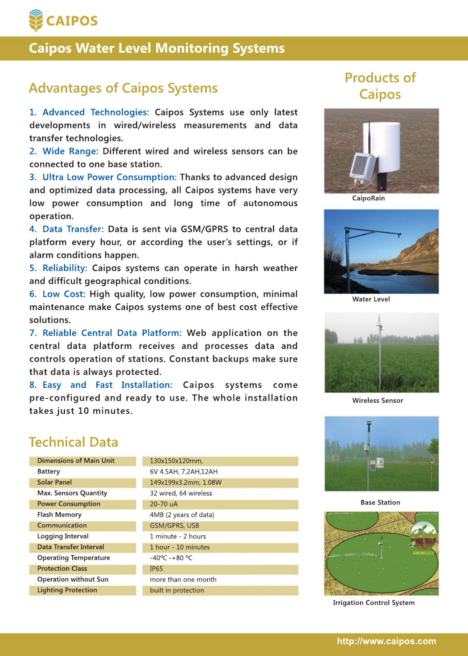

# **Products of Advantages of Caipos Systems Caipos**

**1. Advanced Technologies: Caipos Systems use only latest developments in wired/wireless measurements and data transfer technologies.**

**2. Wide Range: Different wired and wireless sensors can be connected to one base station.**

**3. Ultra Low Power Consumption: Thanks to advanced design and optimized data processing, all Caipos systems have very low power consumption and long time of autonomous operation.**

**4. Data Transfer: Data is sent via GSM/GPRS to central data platform every hour, or according the user's settings, or if alarm conditions happen.**

**5. Reliability: Caipos systems can operate in harsh weather and difficult geographical conditions.**

**6. Low Cost: High quality, low power consumption, minimal maintenance make Caipos systems one of best cost effective solutions.**

**7. Reliable Central Data Platform: Web application on the central data platform receives and processes data and controls operation of stations. Constant backups make sure that data is always protected.**

**8. Easy and Fast Installation: Caipos systems come pre-configured and ready to use. The whole installation takes just 10 minutes.**

# **Technical Data**

| <b>Dimensions of Main Unit</b> | 130x150x120mm,                   |  |
|--------------------------------|----------------------------------|--|
| Battery                        | 6V 4.5AH, 7.2AH, 12AH            |  |
| <b>Solar Panel</b>             | 149x199x3.2mm, 1.08W             |  |
| <b>Max. Sensors Quantity</b>   | 32 wired, 64 wireless            |  |
| <b>Power Consumption</b>       | 20-70 uA                         |  |
| <b>Flash Memory</b>            | 4MB (2 years of data)            |  |
| Communication                  | GSM/GPRS, USB                    |  |
| Logging Interval               | 1 minute - 2 hours               |  |
| Data Transfer Interval         | 1 hour - 10 minutes              |  |
| <b>Operating Temperature</b>   | $-40^{\circ}$ C $-+80^{\circ}$ C |  |
| <b>Protection Class</b>        | IP <sub>65</sub>                 |  |
| <b>Operation without Sun</b>   | more than one month              |  |
| <b>Lighting Protection</b>     | built in protection              |  |



**CaipoRain**



**Water Level**



**Wireless Sensor**



**Base Station**



**Irrigation Control System**